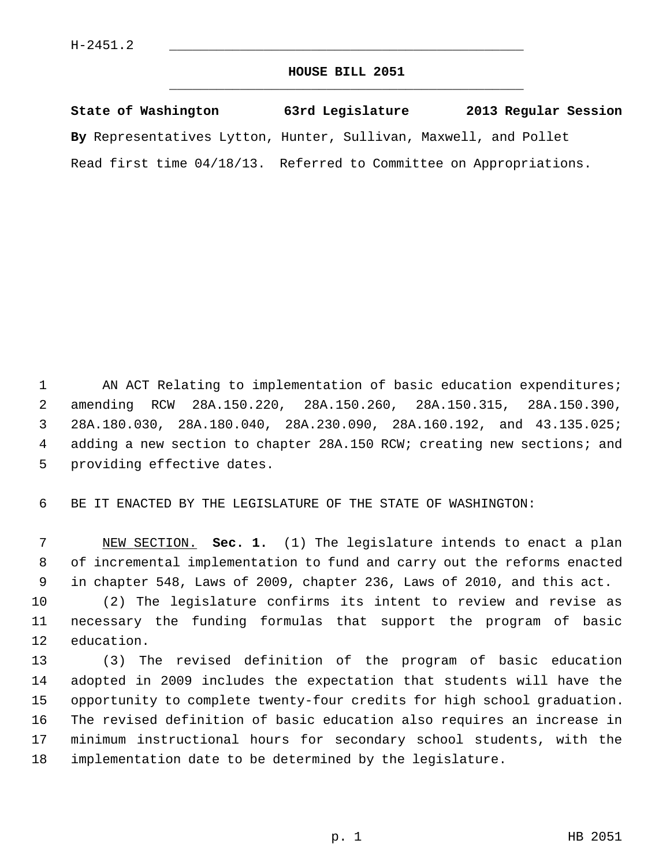## **HOUSE BILL 2051** \_\_\_\_\_\_\_\_\_\_\_\_\_\_\_\_\_\_\_\_\_\_\_\_\_\_\_\_\_\_\_\_\_\_\_\_\_\_\_\_\_\_\_\_\_

| State of Washington                                                | 63rd Legislature | 2013 Regular Session |
|--------------------------------------------------------------------|------------------|----------------------|
| By Representatives Lytton, Hunter, Sullivan, Maxwell, and Pollet   |                  |                      |
| Read first time 04/18/13. Referred to Committee on Appropriations. |                  |                      |

1 AN ACT Relating to implementation of basic education expenditures; 2 amending RCW 28A.150.220, 28A.150.260, 28A.150.315, 28A.150.390, 3 28A.180.030, 28A.180.040, 28A.230.090, 28A.160.192, and 43.135.025; 4 adding a new section to chapter 28A.150 RCW; creating new sections; and 5 providing effective dates.

6 BE IT ENACTED BY THE LEGISLATURE OF THE STATE OF WASHINGTON:

 7 NEW SECTION. **Sec. 1.** (1) The legislature intends to enact a plan 8 of incremental implementation to fund and carry out the reforms enacted 9 in chapter 548, Laws of 2009, chapter 236, Laws of 2010, and this act.

10 (2) The legislature confirms its intent to review and revise as 11 necessary the funding formulas that support the program of basic 12 education.

13 (3) The revised definition of the program of basic education 14 adopted in 2009 includes the expectation that students will have the 15 opportunity to complete twenty-four credits for high school graduation. 16 The revised definition of basic education also requires an increase in 17 minimum instructional hours for secondary school students, with the 18 implementation date to be determined by the legislature.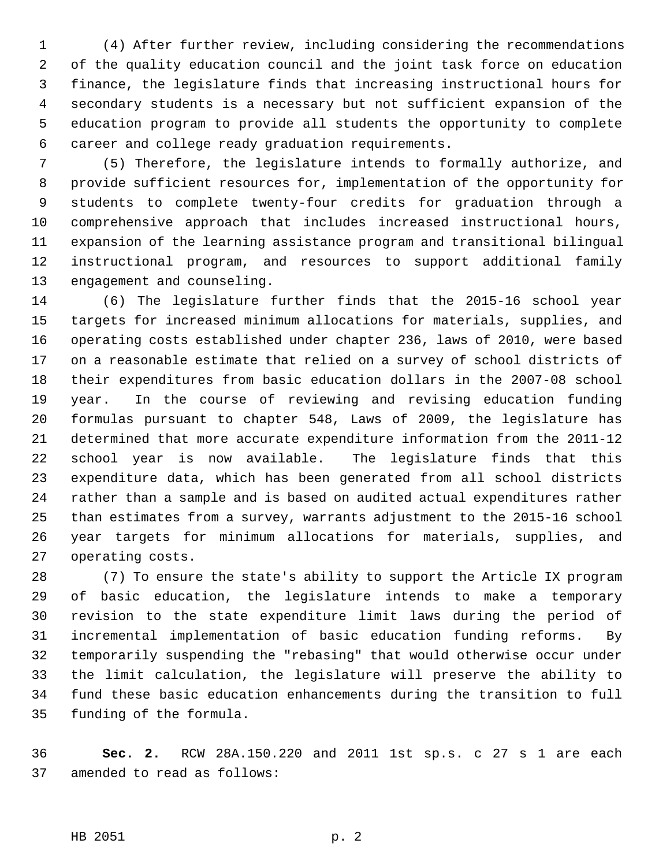1 (4) After further review, including considering the recommendations 2 of the quality education council and the joint task force on education 3 finance, the legislature finds that increasing instructional hours for 4 secondary students is a necessary but not sufficient expansion of the 5 education program to provide all students the opportunity to complete 6 career and college ready graduation requirements.

 7 (5) Therefore, the legislature intends to formally authorize, and 8 provide sufficient resources for, implementation of the opportunity for 9 students to complete twenty-four credits for graduation through a 10 comprehensive approach that includes increased instructional hours, 11 expansion of the learning assistance program and transitional bilingual 12 instructional program, and resources to support additional family 13 engagement and counseling.

14 (6) The legislature further finds that the 2015-16 school year 15 targets for increased minimum allocations for materials, supplies, and 16 operating costs established under chapter 236, laws of 2010, were based 17 on a reasonable estimate that relied on a survey of school districts of 18 their expenditures from basic education dollars in the 2007-08 school 19 year. In the course of reviewing and revising education funding 20 formulas pursuant to chapter 548, Laws of 2009, the legislature has 21 determined that more accurate expenditure information from the 2011-12 22 school year is now available. The legislature finds that this 23 expenditure data, which has been generated from all school districts 24 rather than a sample and is based on audited actual expenditures rather 25 than estimates from a survey, warrants adjustment to the 2015-16 school 26 year targets for minimum allocations for materials, supplies, and 27 operating costs.

28 (7) To ensure the state's ability to support the Article IX program 29 of basic education, the legislature intends to make a temporary 30 revision to the state expenditure limit laws during the period of 31 incremental implementation of basic education funding reforms. By 32 temporarily suspending the "rebasing" that would otherwise occur under 33 the limit calculation, the legislature will preserve the ability to 34 fund these basic education enhancements during the transition to full 35 funding of the formula.

36 **Sec. 2.** RCW 28A.150.220 and 2011 1st sp.s. c 27 s 1 are each 37 amended to read as follows: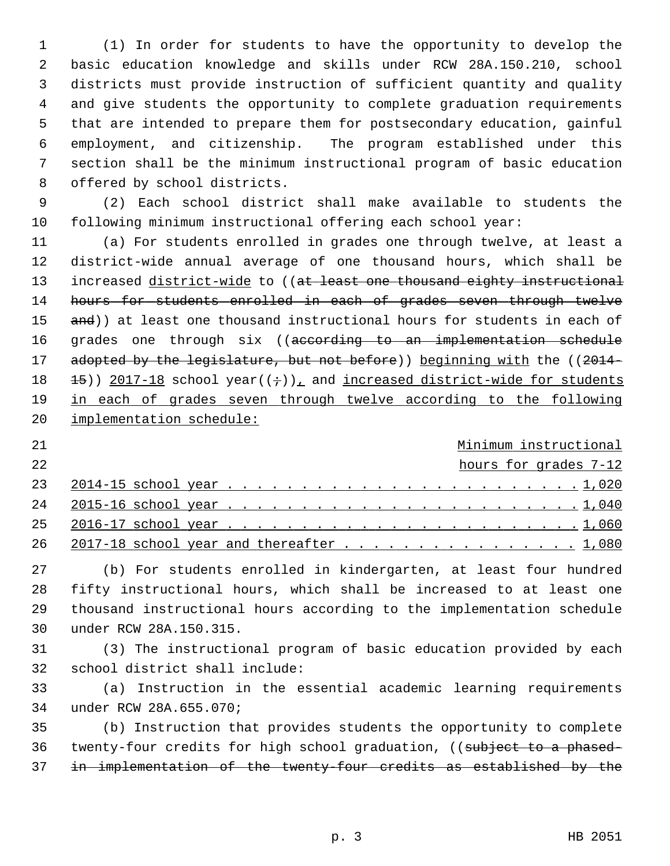1 (1) In order for students to have the opportunity to develop the 2 basic education knowledge and skills under RCW 28A.150.210, school 3 districts must provide instruction of sufficient quantity and quality 4 and give students the opportunity to complete graduation requirements 5 that are intended to prepare them for postsecondary education, gainful 6 employment, and citizenship. The program established under this 7 section shall be the minimum instructional program of basic education 8 offered by school districts.

 9 (2) Each school district shall make available to students the 10 following minimum instructional offering each school year:

11 (a) For students enrolled in grades one through twelve, at least a 12 district-wide annual average of one thousand hours, which shall be 13 increased district-wide to ((at least one thousand eighty instructional 14 hours for students enrolled in each of grades seven through twelve 15 and)) at least one thousand instructional hours for students in each of 16 grades one through six ((according to an implementation schedule 17 adopted by the legislature, but not before)) beginning with the ((2014-18  $\pm$  15)) 2017-18 school year(( $\div$ )), and increased district-wide for students 19 in each of grades seven through twelve according to the following 20 implementation schedule:

## 21 Minimum instructional

22 hours for grades 7-12

| 26 2017-18 school year and thereafter 1,080 |  |  |  |  |  |  |  |  |  |  |  |  |  |
|---------------------------------------------|--|--|--|--|--|--|--|--|--|--|--|--|--|

27 (b) For students enrolled in kindergarten, at least four hundred 28 fifty instructional hours, which shall be increased to at least one 29 thousand instructional hours according to the implementation schedule 30 under RCW 28A.150.315.

31 (3) The instructional program of basic education provided by each 32 school district shall include:

33 (a) Instruction in the essential academic learning requirements 34 under RCW 28A.655.070;

35 (b) Instruction that provides students the opportunity to complete 36 twenty-four credits for high school graduation, ((subject to a phased-37 in implementation of the twenty-four credits as established by the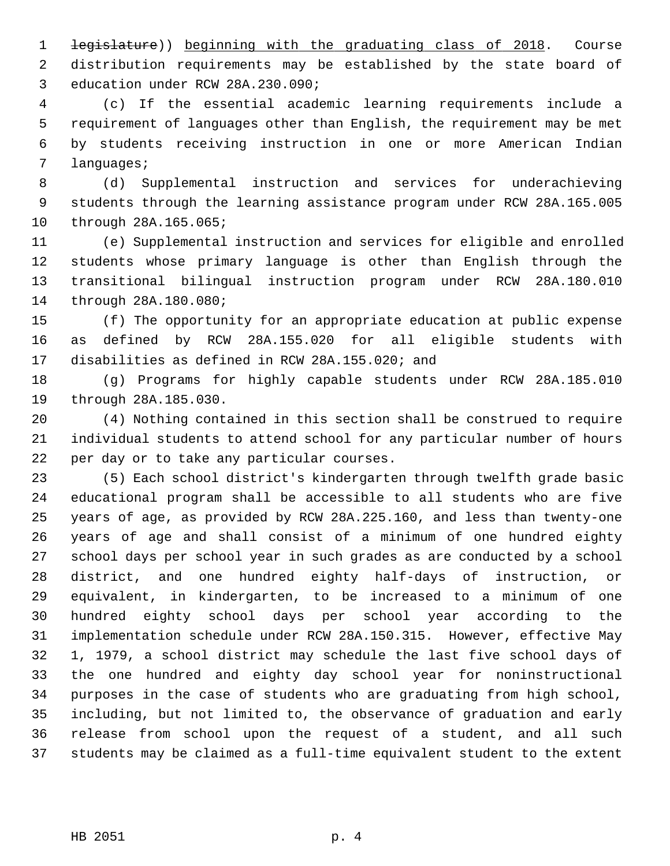1 legislature)) beginning with the graduating class of 2018. Course 2 distribution requirements may be established by the state board of 3 education under RCW 28A.230.090;

 4 (c) If the essential academic learning requirements include a 5 requirement of languages other than English, the requirement may be met 6 by students receiving instruction in one or more American Indian 7 languages;

 8 (d) Supplemental instruction and services for underachieving 9 students through the learning assistance program under RCW 28A.165.005 10 through 28A.165.065;

11 (e) Supplemental instruction and services for eligible and enrolled 12 students whose primary language is other than English through the 13 transitional bilingual instruction program under RCW 28A.180.010 14 through 28A.180.080;

15 (f) The opportunity for an appropriate education at public expense 16 as defined by RCW 28A.155.020 for all eligible students with 17 disabilities as defined in RCW 28A.155.020; and

18 (g) Programs for highly capable students under RCW 28A.185.010 19 through 28A.185.030.

20 (4) Nothing contained in this section shall be construed to require 21 individual students to attend school for any particular number of hours 22 per day or to take any particular courses.

23 (5) Each school district's kindergarten through twelfth grade basic 24 educational program shall be accessible to all students who are five 25 years of age, as provided by RCW 28A.225.160, and less than twenty-one 26 years of age and shall consist of a minimum of one hundred eighty 27 school days per school year in such grades as are conducted by a school 28 district, and one hundred eighty half-days of instruction, or 29 equivalent, in kindergarten, to be increased to a minimum of one 30 hundred eighty school days per school year according to the 31 implementation schedule under RCW 28A.150.315. However, effective May 32 1, 1979, a school district may schedule the last five school days of 33 the one hundred and eighty day school year for noninstructional 34 purposes in the case of students who are graduating from high school, 35 including, but not limited to, the observance of graduation and early 36 release from school upon the request of a student, and all such 37 students may be claimed as a full-time equivalent student to the extent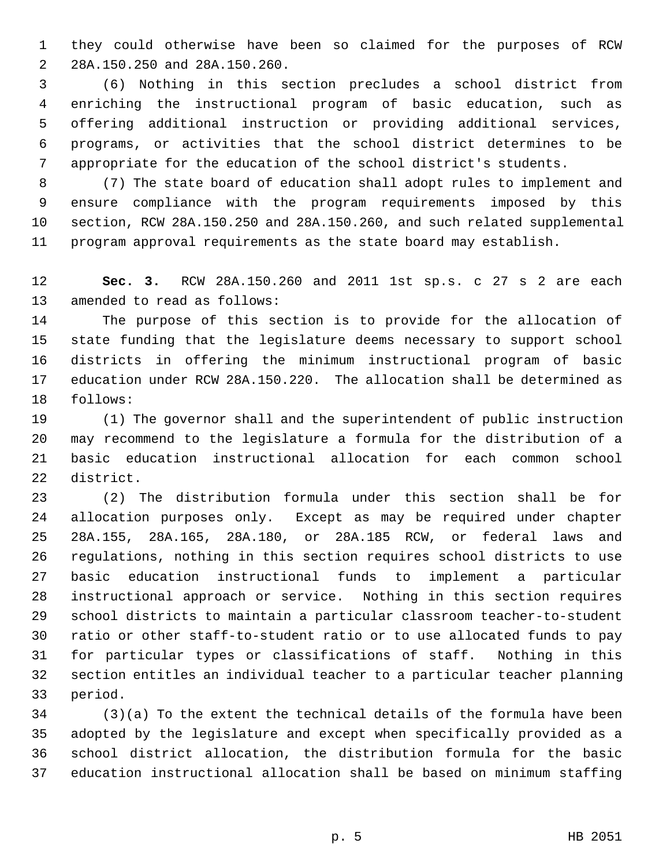1 they could otherwise have been so claimed for the purposes of RCW 2 28A.150.250 and 28A.150.260.

 3 (6) Nothing in this section precludes a school district from 4 enriching the instructional program of basic education, such as 5 offering additional instruction or providing additional services, 6 programs, or activities that the school district determines to be 7 appropriate for the education of the school district's students.

 8 (7) The state board of education shall adopt rules to implement and 9 ensure compliance with the program requirements imposed by this 10 section, RCW 28A.150.250 and 28A.150.260, and such related supplemental 11 program approval requirements as the state board may establish.

12 **Sec. 3.** RCW 28A.150.260 and 2011 1st sp.s. c 27 s 2 are each 13 amended to read as follows:

14 The purpose of this section is to provide for the allocation of 15 state funding that the legislature deems necessary to support school 16 districts in offering the minimum instructional program of basic 17 education under RCW 28A.150.220. The allocation shall be determined as 18 follows:

19 (1) The governor shall and the superintendent of public instruction 20 may recommend to the legislature a formula for the distribution of a 21 basic education instructional allocation for each common school 22 district.

23 (2) The distribution formula under this section shall be for 24 allocation purposes only. Except as may be required under chapter 25 28A.155, 28A.165, 28A.180, or 28A.185 RCW, or federal laws and 26 regulations, nothing in this section requires school districts to use 27 basic education instructional funds to implement a particular 28 instructional approach or service. Nothing in this section requires 29 school districts to maintain a particular classroom teacher-to-student 30 ratio or other staff-to-student ratio or to use allocated funds to pay 31 for particular types or classifications of staff. Nothing in this 32 section entitles an individual teacher to a particular teacher planning 33 period.

34 (3)(a) To the extent the technical details of the formula have been 35 adopted by the legislature and except when specifically provided as a 36 school district allocation, the distribution formula for the basic 37 education instructional allocation shall be based on minimum staffing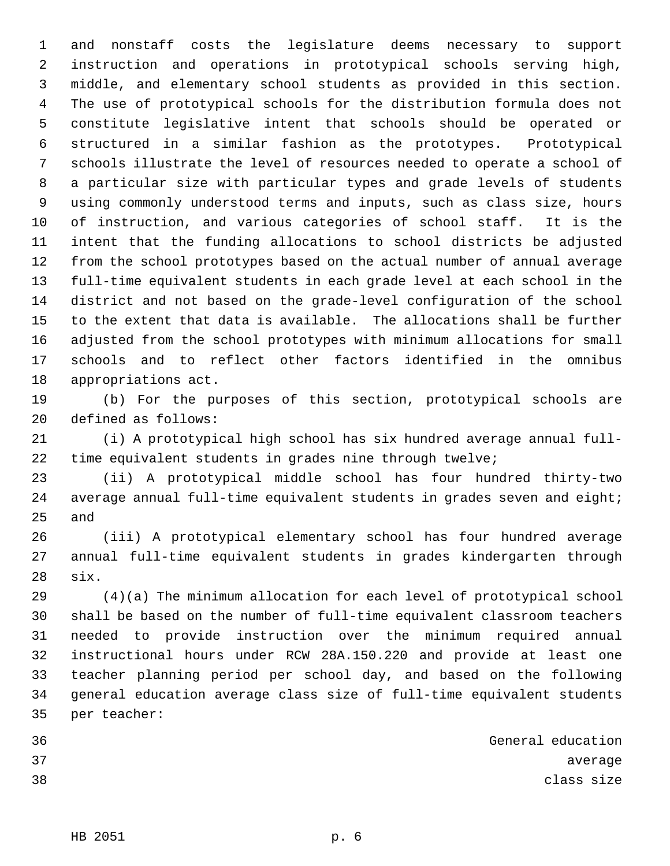1 and nonstaff costs the legislature deems necessary to support 2 instruction and operations in prototypical schools serving high, 3 middle, and elementary school students as provided in this section. 4 The use of prototypical schools for the distribution formula does not 5 constitute legislative intent that schools should be operated or 6 structured in a similar fashion as the prototypes. Prototypical 7 schools illustrate the level of resources needed to operate a school of 8 a particular size with particular types and grade levels of students 9 using commonly understood terms and inputs, such as class size, hours 10 of instruction, and various categories of school staff. It is the 11 intent that the funding allocations to school districts be adjusted 12 from the school prototypes based on the actual number of annual average 13 full-time equivalent students in each grade level at each school in the 14 district and not based on the grade-level configuration of the school 15 to the extent that data is available. The allocations shall be further 16 adjusted from the school prototypes with minimum allocations for small 17 schools and to reflect other factors identified in the omnibus 18 appropriations act.

19 (b) For the purposes of this section, prototypical schools are 20 defined as follows:

21 (i) A prototypical high school has six hundred average annual full-22 time equivalent students in grades nine through twelve;

23 (ii) A prototypical middle school has four hundred thirty-two 24 average annual full-time equivalent students in grades seven and eight; 25 and

26 (iii) A prototypical elementary school has four hundred average 27 annual full-time equivalent students in grades kindergarten through 28 six.

29 (4)(a) The minimum allocation for each level of prototypical school 30 shall be based on the number of full-time equivalent classroom teachers 31 needed to provide instruction over the minimum required annual 32 instructional hours under RCW 28A.150.220 and provide at least one 33 teacher planning period per school day, and based on the following 34 general education average class size of full-time equivalent students 35 per teacher:

| 36 | General education |            |         |
|----|-------------------|------------|---------|
| 37 |                   |            | average |
| 38 |                   | class size |         |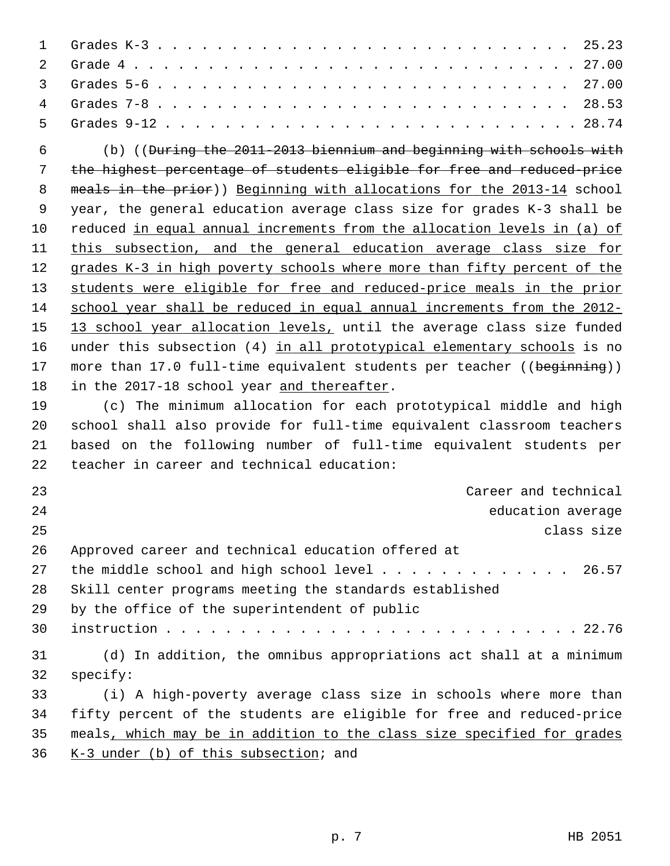| $\mathbf 1$ | 25.23                                                                           |
|-------------|---------------------------------------------------------------------------------|
| 2           |                                                                                 |
| 3           |                                                                                 |
| 4           | 28.53                                                                           |
| 5           |                                                                                 |
| 6           | (b) (( <del>During the 2011-2013 biennium and beginning with schools with</del> |
| 7           | the highest percentage of students eligible for free and reduced-price          |
| 8           | meals in the prior)) Beginning with allocations for the 2013-14 school          |
| 9           | year, the general education average class size for grades K-3 shall be          |
| 10          | reduced in equal annual increments from the allocation levels in (a) of         |
| 11          | this subsection, and the general education average class size for               |
| 12          | grades K-3 in high poverty schools where more than fifty percent of the         |
| 13          | students were eligible for free and reduced-price meals in the prior            |
| 14          | school year shall be reduced in equal annual increments from the 2012-          |
| 15          | 13 school year allocation levels, until the average class size funded           |
| 16          | under this subsection (4) in all prototypical elementary schools is no          |
| 17          | more than 17.0 full-time equivalent students per teacher ((beginning))          |
| 18          | in the 2017-18 school year and thereafter.                                      |
| 19          | (c) The minimum allocation for each prototypical middle and high                |
| 20          | school shall also provide for full-time equivalent classroom teachers           |
| 21          | based on the following number of full-time equivalent students per              |
| 22          | teacher in career and technical education:                                      |
| 23          | Career and technical                                                            |
| 24          | education average                                                               |
| 25          | class size                                                                      |
| 26          | Approved career and technical education offered at                              |
| 27          | the middle school and high school level 26.57                                   |
| 28          | Skill center programs meeting the standards established                         |
| 29          | by the office of the superintendent of public                                   |
| 30          |                                                                                 |
| 31          | (d) In addition, the omnibus appropriations act shall at a minimum              |
| 32          | specify:                                                                        |
| 33          | (i) A high-poverty average class size in schools where more than                |
| 34          | fifty percent of the students are eligible for free and reduced-price           |
| 35          | meals, which may be in addition to the class size specified for grades          |
| 36          | $K-3$ under (b) of this subsection; and                                         |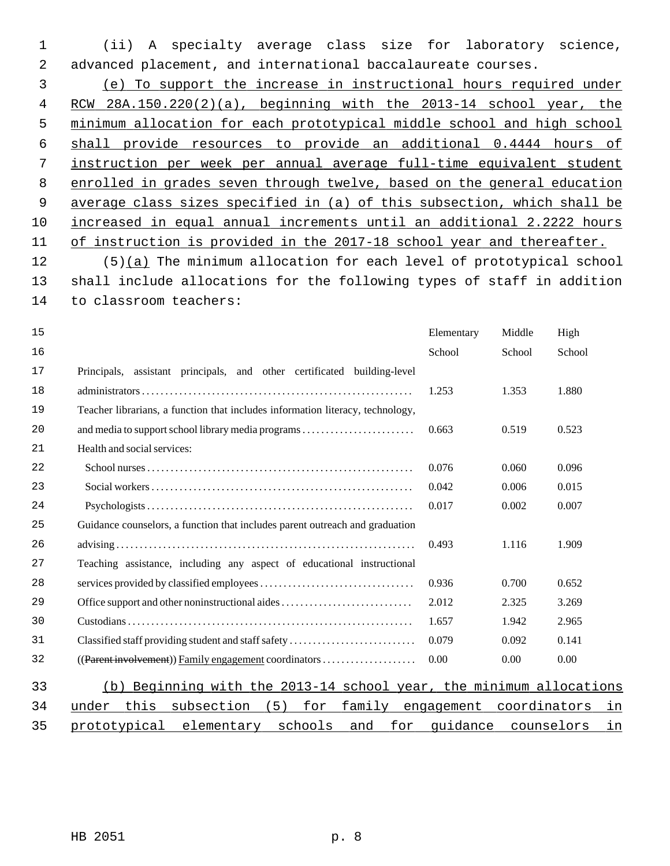1 (ii) A specialty average class size for laboratory science, 2 advanced placement, and international baccalaureate courses.

 (e) To support the increase in instructional hours required under RCW 28A.150.220(2)(a), beginning with the 2013-14 school year, the minimum allocation for each prototypical middle school and high school shall provide resources to provide an additional 0.4444 hours of instruction per week per annual average full-time equivalent student enrolled in grades seven through twelve, based on the general education average class sizes specified in (a) of this subsection, which shall be increased in equal annual increments until an additional 2.2222 hours of instruction is provided in the 2017-18 school year and thereafter.

12 (5)(a) The minimum allocation for each level of prototypical school 13 shall include allocations for the following types of staff in addition 14 to classroom teachers:

| 15 |                                                                                | Elementary | Middle       | High       |    |
|----|--------------------------------------------------------------------------------|------------|--------------|------------|----|
| 16 |                                                                                | School     | School       | School     |    |
| 17 | Principals, assistant principals, and other certificated building-level        |            |              |            |    |
| 18 |                                                                                | 1.253      | 1.353        | 1.880      |    |
| 19 | Teacher librarians, a function that includes information literacy, technology, |            |              |            |    |
| 20 |                                                                                | 0.663      | 0.519        | 0.523      |    |
| 21 | Health and social services:                                                    |            |              |            |    |
| 22 |                                                                                | 0.076      | 0.060        | 0.096      |    |
| 23 |                                                                                | 0.042      | 0.006        | 0.015      |    |
| 24 |                                                                                | 0.017      | 0.002        | 0.007      |    |
| 25 | Guidance counselors, a function that includes parent outreach and graduation   |            |              |            |    |
| 26 |                                                                                | 0.493      | 1.116        | 1.909      |    |
| 27 | Teaching assistance, including any aspect of educational instructional         |            |              |            |    |
| 28 |                                                                                | 0.936      | 0.700        | 0.652      |    |
| 29 | Office support and other noninstructional aides                                | 2.012      | 2.325        | 3.269      |    |
| 30 |                                                                                | 1.657      | 1.942        | 2.965      |    |
| 31 | Classified staff providing student and staff safety                            | 0.079      | 0.092        | 0.141      |    |
| 32 | ((Parent involvement)) Family engagement coordinators                          | 0.00       | 0.00         | 0.00       |    |
| 33 | Beginning with the 2013-14 school year, the minimum allocations<br>(b)         |            |              |            |    |
| 34 | this<br>5)<br>subsection<br>for<br>family<br>under                             | engagement | coordinators |            | in |
| 35 | elementary<br>schools<br>prototypical<br>and<br>for                            | quidance   |              | counselors | in |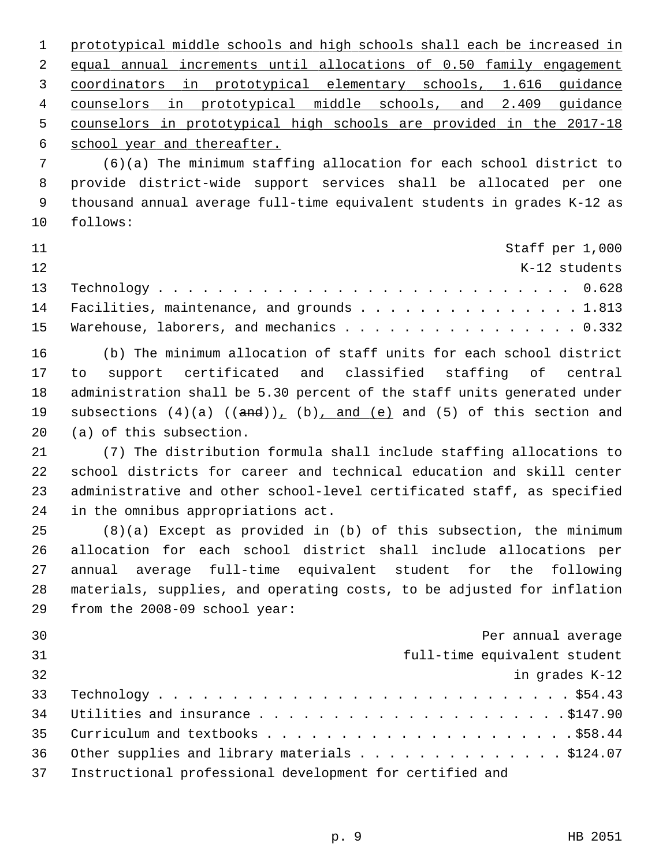prototypical middle schools and high schools shall each be increased in equal annual increments until allocations of 0.50 family engagement coordinators in prototypical elementary schools, 1.616 guidance counselors in prototypical middle schools, and 2.409 guidance counselors in prototypical high schools are provided in the 2017-18 school year and thereafter.

 7 (6)(a) The minimum staffing allocation for each school district to 8 provide district-wide support services shall be allocated per one 9 thousand annual average full-time equivalent students in grades K-12 as 10 follows:

| 11  | Staff per 1,000                               |               |
|-----|-----------------------------------------------|---------------|
| 12. |                                               | K-12 students |
|     |                                               |               |
|     | 14 Facilities, maintenance, and grounds 1.813 |               |
|     | 15 Warehouse, laborers, and mechanics 0.332   |               |

16 (b) The minimum allocation of staff units for each school district 17 to support certificated and classified staffing of central 18 administration shall be 5.30 percent of the staff units generated under 19 subsections  $(4)(a)$   $((and))_1$   $(b)$ , and  $(e)$  and  $(5)$  of this section and 20 (a) of this subsection.

21 (7) The distribution formula shall include staffing allocations to 22 school districts for career and technical education and skill center 23 administrative and other school-level certificated staff, as specified 24 in the omnibus appropriations act.

25 (8)(a) Except as provided in (b) of this subsection, the minimum 26 allocation for each school district shall include allocations per 27 annual average full-time equivalent student for the following 28 materials, supplies, and operating costs, to be adjusted for inflation 29 from the 2008-09 school year:

| 30 | Per annual average                                       |
|----|----------------------------------------------------------|
| 31 | full-time equivalent student                             |
| 32 | in grades K-12                                           |
| 33 |                                                          |
| 34 |                                                          |
| 35 |                                                          |
| 36 | Other supplies and library materials \$124.07            |
| 37 | Instructional professional development for certified and |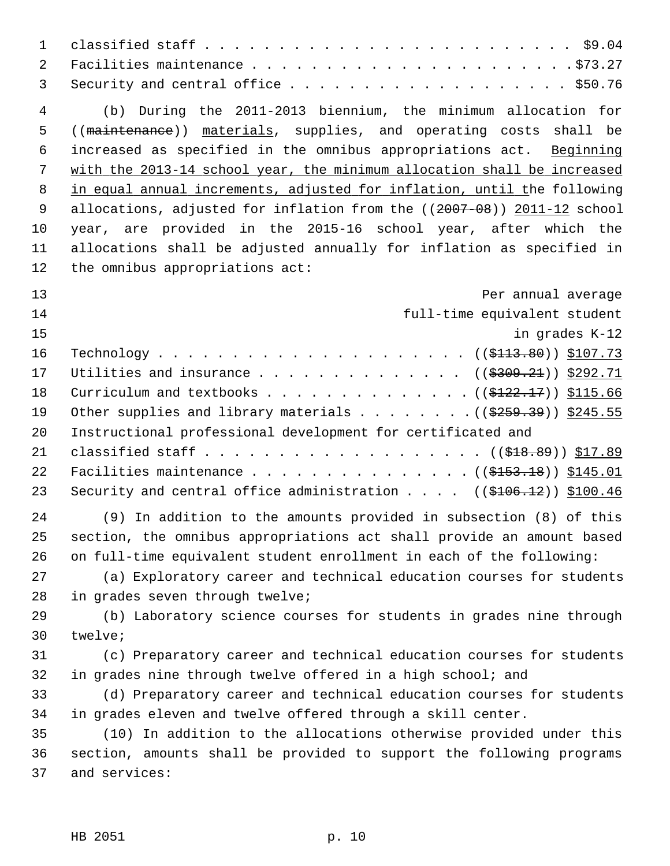| $\mathbf{1}$        |                                                                                    |
|---------------------|------------------------------------------------------------------------------------|
| $\overline{2}$<br>3 |                                                                                    |
| $\overline{4}$      | (b) During the 2011-2013 biennium, the minimum allocation for                      |
| 5                   | ((maintenance)) materials, supplies, and operating costs shall be                  |
| 6                   | increased as specified in the omnibus appropriations act. Beginning                |
| 7                   | with the 2013-14 school year, the minimum allocation shall be increased            |
| 8                   | in equal annual increments, adjusted for inflation, until the following            |
| 9                   | allocations, adjusted for inflation from the ((2007-08)) 2011-12 school            |
| 10                  | year, are provided in the 2015-16 school year, after which the                     |
| 11                  | allocations shall be adjusted annually for inflation as specified in               |
| 12                  | the omnibus appropriations act:                                                    |
| 13                  | Per annual average                                                                 |
| 14                  | full-time equivalent student                                                       |
| 15                  | in grades K-12                                                                     |
| 16                  |                                                                                    |
| 17                  | Utilities and insurance ( $(\frac{2309.21}{2})$ ) \$292.71                         |
| 18                  | Curriculum and textbooks ( $(\frac{\text{122.17}}{2})$ ) $\frac{\text{115.66}}{2}$ |
| 19                  | Other supplies and library materials ( $(\frac{2559.39}{})$ \$245.55               |
| 20                  | Instructional professional development for certificated and                        |
| 21                  |                                                                                    |
| 22                  | Facilities maintenance ((\$153.18)) \$145.01                                       |
| 23                  | Security and central office administration $(($106.12))$ \$100.46                  |
| 24                  | (9) In addition to the amounts provided in subsection (8) of this                  |
| 25                  | section, the omnibus appropriations act shall provide an amount based              |
| 26                  | on full-time equivalent student enrollment in each of the following:               |
| 27                  | (a) Exploratory career and technical education courses for students                |
| 28                  | in grades seven through twelve;                                                    |
| 29                  | (b) Laboratory science courses for students in grades nine through                 |
| 30                  | twelve;                                                                            |
| 31                  | (c) Preparatory career and technical education courses for students                |
| 32                  | in grades nine through twelve offered in a high school; and                        |
| 33                  | (d) Preparatory career and technical education courses for students                |
| 34                  | in grades eleven and twelve offered through a skill center.                        |
| 35                  | (10) In addition to the allocations otherwise provided under this                  |
| 36                  | section, amounts shall be provided to support the following programs               |
| 37                  | and services:                                                                      |
|                     |                                                                                    |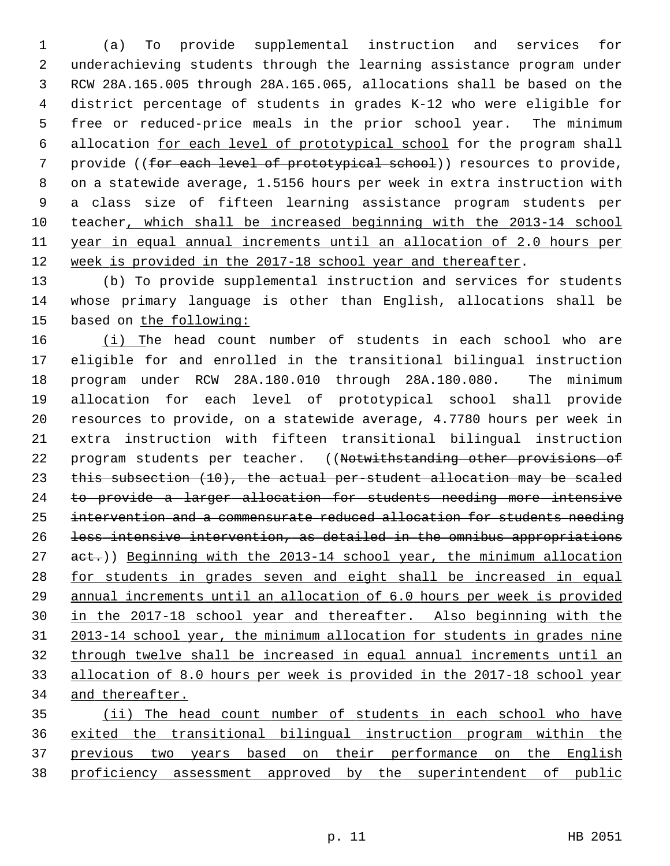1 (a) To provide supplemental instruction and services for 2 underachieving students through the learning assistance program under 3 RCW 28A.165.005 through 28A.165.065, allocations shall be based on the 4 district percentage of students in grades K-12 who were eligible for 5 free or reduced-price meals in the prior school year. The minimum 6 allocation for each level of prototypical school for the program shall 7 provide ((for each level of prototypical school)) resources to provide, 8 on a statewide average, 1.5156 hours per week in extra instruction with 9 a class size of fifteen learning assistance program students per 10 teacher, which shall be increased beginning with the 2013-14 school 11 year in equal annual increments until an allocation of 2.0 hours per 12 week is provided in the 2017-18 school year and thereafter.

13 (b) To provide supplemental instruction and services for students 14 whose primary language is other than English, allocations shall be 15 based on the following:

16 (i) The head count number of students in each school who are 17 eligible for and enrolled in the transitional bilingual instruction 18 program under RCW 28A.180.010 through 28A.180.080. The minimum 19 allocation for each level of prototypical school shall provide 20 resources to provide, on a statewide average, 4.7780 hours per week in 21 extra instruction with fifteen transitional bilingual instruction 22 program students per teacher. ((Notwithstanding other provisions of 23 this subsection (10), the actual per-student allocation may be scaled 24 to provide a larger allocation for students needing more intensive 25 intervention and a commensurate reduced allocation for students needing 26 less intensive intervention, as detailed in the omnibus appropriations 27 act.)) Beginning with the 2013-14 school year, the minimum allocation 28 for students in grades seven and eight shall be increased in equal 29 annual increments until an allocation of 6.0 hours per week is provided 30 in the 2017-18 school year and thereafter. Also beginning with the 31 2013-14 school year, the minimum allocation for students in grades nine 32 through twelve shall be increased in equal annual increments until an 33 allocation of 8.0 hours per week is provided in the 2017-18 school year 34 and thereafter.

 (ii) The head count number of students in each school who have exited the transitional bilingual instruction program within the previous two years based on their performance on the English proficiency assessment approved by the superintendent of public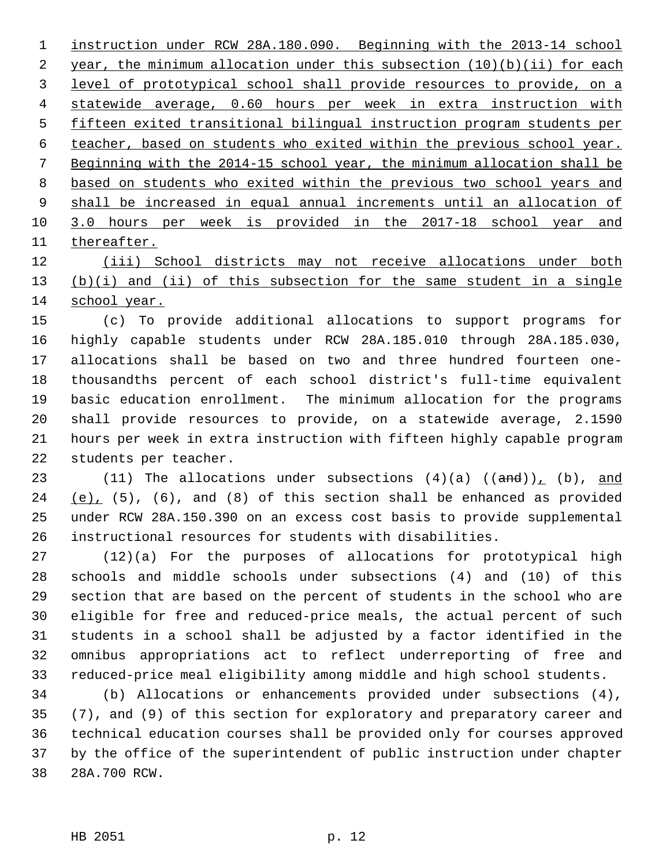instruction under RCW 28A.180.090. Beginning with the 2013-14 school year, the minimum allocation under this subsection (10)(b)(ii) for each level of prototypical school shall provide resources to provide, on a statewide average, 0.60 hours per week in extra instruction with fifteen exited transitional bilingual instruction program students per teacher, based on students who exited within the previous school year. Beginning with the 2014-15 school year, the minimum allocation shall be based on students who exited within the previous two school years and shall be increased in equal annual increments until an allocation of 3.0 hours per week is provided in the 2017-18 school year and thereafter.

12 (iii) School districts may not receive allocations under both 13 (b)(i) and (ii) of this subsection for the same student in a single 14 school year.

15 (c) To provide additional allocations to support programs for 16 highly capable students under RCW 28A.185.010 through 28A.185.030, 17 allocations shall be based on two and three hundred fourteen one-18 thousandths percent of each school district's full-time equivalent 19 basic education enrollment. The minimum allocation for the programs 20 shall provide resources to provide, on a statewide average, 2.1590 21 hours per week in extra instruction with fifteen highly capable program 22 students per teacher.

23 (11) The allocations under subsections  $(4)(a)$   $((and))_1$   $(b)$ , and 24 (e), (5), (6), and (8) of this section shall be enhanced as provided 25 under RCW 28A.150.390 on an excess cost basis to provide supplemental 26 instructional resources for students with disabilities.

27 (12)(a) For the purposes of allocations for prototypical high 28 schools and middle schools under subsections (4) and (10) of this 29 section that are based on the percent of students in the school who are 30 eligible for free and reduced-price meals, the actual percent of such 31 students in a school shall be adjusted by a factor identified in the 32 omnibus appropriations act to reflect underreporting of free and 33 reduced-price meal eligibility among middle and high school students.

34 (b) Allocations or enhancements provided under subsections (4), 35 (7), and (9) of this section for exploratory and preparatory career and 36 technical education courses shall be provided only for courses approved 37 by the office of the superintendent of public instruction under chapter 38 28A.700 RCW.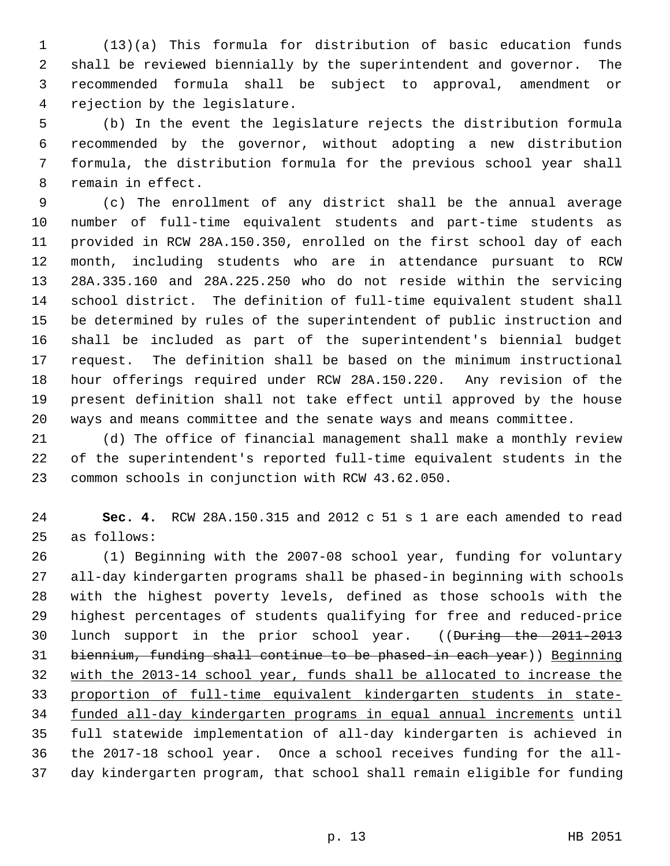1 (13)(a) This formula for distribution of basic education funds 2 shall be reviewed biennially by the superintendent and governor. The 3 recommended formula shall be subject to approval, amendment or 4 rejection by the legislature.

 5 (b) In the event the legislature rejects the distribution formula 6 recommended by the governor, without adopting a new distribution 7 formula, the distribution formula for the previous school year shall 8 remain in effect.

 9 (c) The enrollment of any district shall be the annual average 10 number of full-time equivalent students and part-time students as 11 provided in RCW 28A.150.350, enrolled on the first school day of each 12 month, including students who are in attendance pursuant to RCW 13 28A.335.160 and 28A.225.250 who do not reside within the servicing 14 school district. The definition of full-time equivalent student shall 15 be determined by rules of the superintendent of public instruction and 16 shall be included as part of the superintendent's biennial budget 17 request. The definition shall be based on the minimum instructional 18 hour offerings required under RCW 28A.150.220. Any revision of the 19 present definition shall not take effect until approved by the house 20 ways and means committee and the senate ways and means committee.

21 (d) The office of financial management shall make a monthly review 22 of the superintendent's reported full-time equivalent students in the 23 common schools in conjunction with RCW 43.62.050.

24 **Sec. 4.** RCW 28A.150.315 and 2012 c 51 s 1 are each amended to read 25 as follows:

26 (1) Beginning with the 2007-08 school year, funding for voluntary 27 all-day kindergarten programs shall be phased-in beginning with schools 28 with the highest poverty levels, defined as those schools with the 29 highest percentages of students qualifying for free and reduced-price 30 lunch support in the prior school year. ((During the 2011-2013) 31 biennium, funding shall continue to be phased-in each year)) Beginning 32 with the 2013-14 school year, funds shall be allocated to increase the 33 proportion of full-time equivalent kindergarten students in state-34 funded all-day kindergarten programs in equal annual increments until 35 full statewide implementation of all-day kindergarten is achieved in 36 the 2017-18 school year. Once a school receives funding for the all-37 day kindergarten program, that school shall remain eligible for funding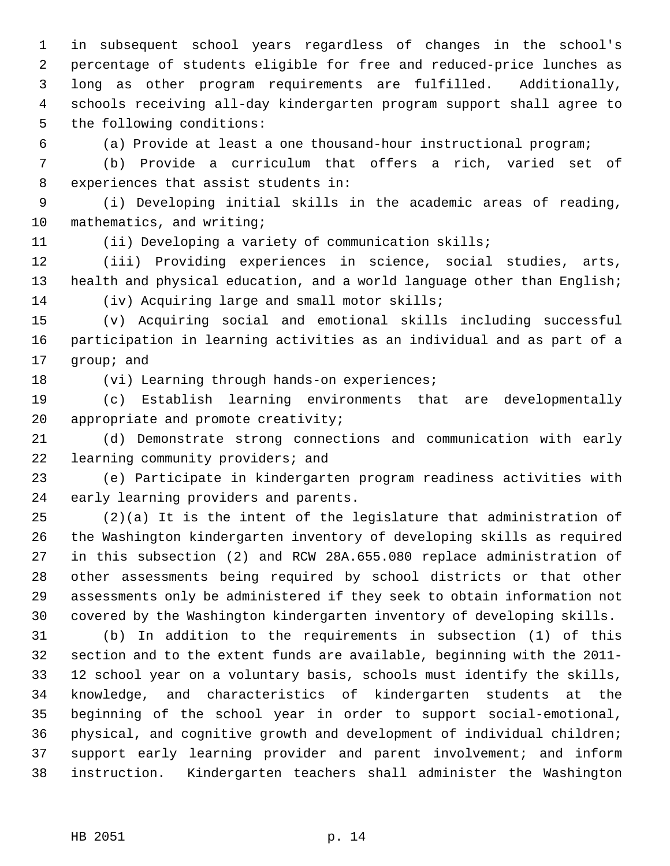1 in subsequent school years regardless of changes in the school's 2 percentage of students eligible for free and reduced-price lunches as 3 long as other program requirements are fulfilled. Additionally, 4 schools receiving all-day kindergarten program support shall agree to 5 the following conditions:

6 (a) Provide at least a one thousand-hour instructional program;

 7 (b) Provide a curriculum that offers a rich, varied set of 8 experiences that assist students in:

 9 (i) Developing initial skills in the academic areas of reading, 10 mathematics, and writing;

11 (ii) Developing a variety of communication skills;

12 (iii) Providing experiences in science, social studies, arts, 13 health and physical education, and a world language other than English; 14 (iv) Acquiring large and small motor skills;

15 (v) Acquiring social and emotional skills including successful 16 participation in learning activities as an individual and as part of a 17 group; and

18 (vi) Learning through hands-on experiences;

19 (c) Establish learning environments that are developmentally 20 appropriate and promote creativity;

21 (d) Demonstrate strong connections and communication with early 22 learning community providers; and

23 (e) Participate in kindergarten program readiness activities with 24 early learning providers and parents.

25 (2)(a) It is the intent of the legislature that administration of 26 the Washington kindergarten inventory of developing skills as required 27 in this subsection (2) and RCW 28A.655.080 replace administration of 28 other assessments being required by school districts or that other 29 assessments only be administered if they seek to obtain information not 30 covered by the Washington kindergarten inventory of developing skills.

31 (b) In addition to the requirements in subsection (1) of this 32 section and to the extent funds are available, beginning with the 2011- 33 12 school year on a voluntary basis, schools must identify the skills, 34 knowledge, and characteristics of kindergarten students at the 35 beginning of the school year in order to support social-emotional, 36 physical, and cognitive growth and development of individual children; 37 support early learning provider and parent involvement; and inform 38 instruction. Kindergarten teachers shall administer the Washington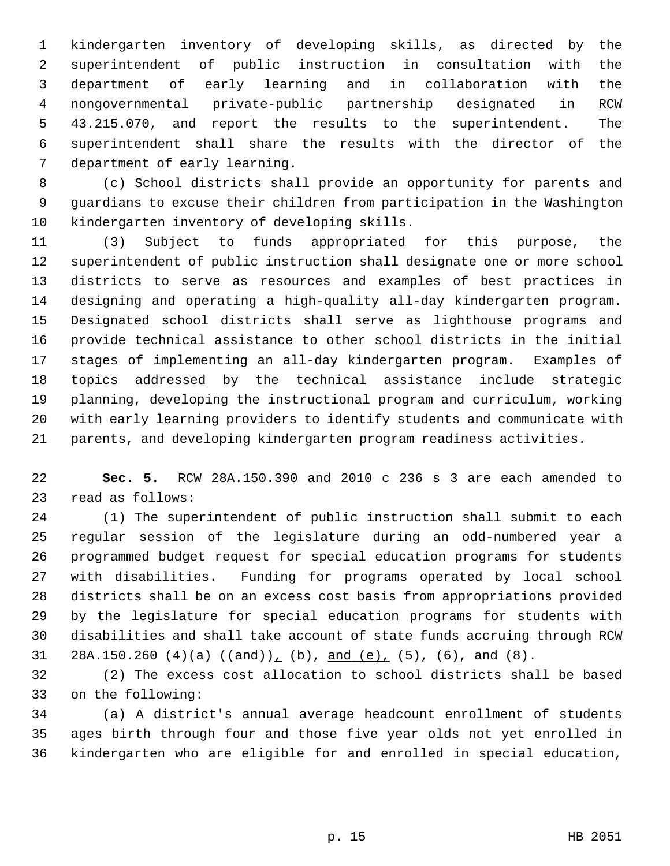1 kindergarten inventory of developing skills, as directed by the 2 superintendent of public instruction in consultation with the 3 department of early learning and in collaboration with the 4 nongovernmental private-public partnership designated in RCW 5 43.215.070, and report the results to the superintendent. The 6 superintendent shall share the results with the director of the 7 department of early learning.

 8 (c) School districts shall provide an opportunity for parents and 9 guardians to excuse their children from participation in the Washington 10 kindergarten inventory of developing skills.

11 (3) Subject to funds appropriated for this purpose, the 12 superintendent of public instruction shall designate one or more school 13 districts to serve as resources and examples of best practices in 14 designing and operating a high-quality all-day kindergarten program. 15 Designated school districts shall serve as lighthouse programs and 16 provide technical assistance to other school districts in the initial 17 stages of implementing an all-day kindergarten program. Examples of 18 topics addressed by the technical assistance include strategic 19 planning, developing the instructional program and curriculum, working 20 with early learning providers to identify students and communicate with 21 parents, and developing kindergarten program readiness activities.

22 **Sec. 5.** RCW 28A.150.390 and 2010 c 236 s 3 are each amended to 23 read as follows:

24 (1) The superintendent of public instruction shall submit to each 25 regular session of the legislature during an odd-numbered year a 26 programmed budget request for special education programs for students 27 with disabilities. Funding for programs operated by local school 28 districts shall be on an excess cost basis from appropriations provided 29 by the legislature for special education programs for students with 30 disabilities and shall take account of state funds accruing through RCW 31 28A.150.260 (4)(a)  $((and))$ , (b), and (e), (5), (6), and (8).

32 (2) The excess cost allocation to school districts shall be based 33 on the following:

34 (a) A district's annual average headcount enrollment of students 35 ages birth through four and those five year olds not yet enrolled in 36 kindergarten who are eligible for and enrolled in special education,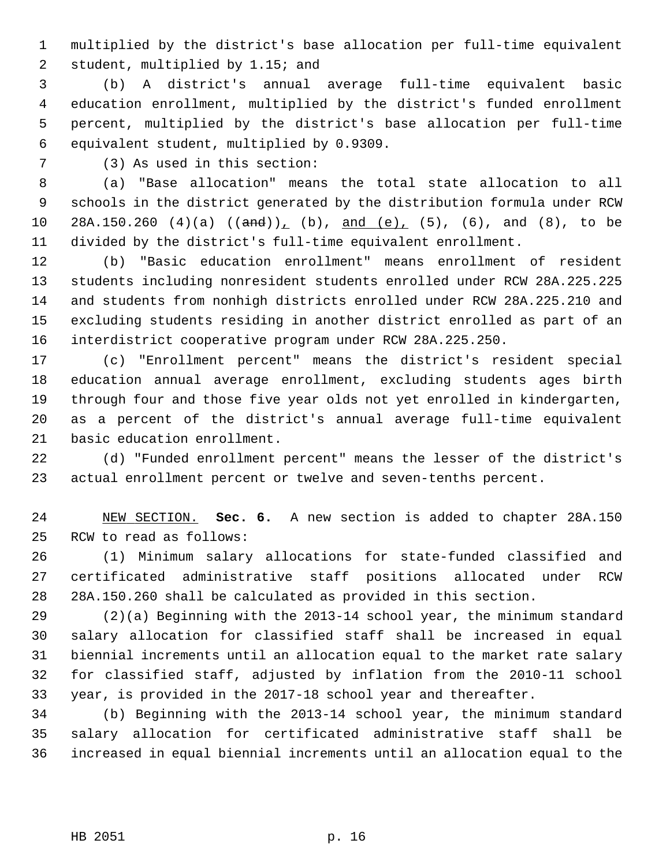1 multiplied by the district's base allocation per full-time equivalent 2 student, multiplied by 1.15; and

 3 (b) A district's annual average full-time equivalent basic 4 education enrollment, multiplied by the district's funded enrollment 5 percent, multiplied by the district's base allocation per full-time 6 equivalent student, multiplied by 0.9309.

7 (3) As used in this section:

 8 (a) "Base allocation" means the total state allocation to all 9 schools in the district generated by the distribution formula under RCW 10 28A.150.260 (4)(a)  $((and))$ , (b), and (e), (5), (6), and (8), to be 11 divided by the district's full-time equivalent enrollment.

12 (b) "Basic education enrollment" means enrollment of resident 13 students including nonresident students enrolled under RCW 28A.225.225 14 and students from nonhigh districts enrolled under RCW 28A.225.210 and 15 excluding students residing in another district enrolled as part of an 16 interdistrict cooperative program under RCW 28A.225.250.

17 (c) "Enrollment percent" means the district's resident special 18 education annual average enrollment, excluding students ages birth 19 through four and those five year olds not yet enrolled in kindergarten, 20 as a percent of the district's annual average full-time equivalent 21 basic education enrollment.

22 (d) "Funded enrollment percent" means the lesser of the district's 23 actual enrollment percent or twelve and seven-tenths percent.

24 NEW SECTION. **Sec. 6.** A new section is added to chapter 28A.150 25 RCW to read as follows:

26 (1) Minimum salary allocations for state-funded classified and 27 certificated administrative staff positions allocated under RCW 28 28A.150.260 shall be calculated as provided in this section.

29 (2)(a) Beginning with the 2013-14 school year, the minimum standard 30 salary allocation for classified staff shall be increased in equal 31 biennial increments until an allocation equal to the market rate salary 32 for classified staff, adjusted by inflation from the 2010-11 school 33 year, is provided in the 2017-18 school year and thereafter.

34 (b) Beginning with the 2013-14 school year, the minimum standard 35 salary allocation for certificated administrative staff shall be 36 increased in equal biennial increments until an allocation equal to the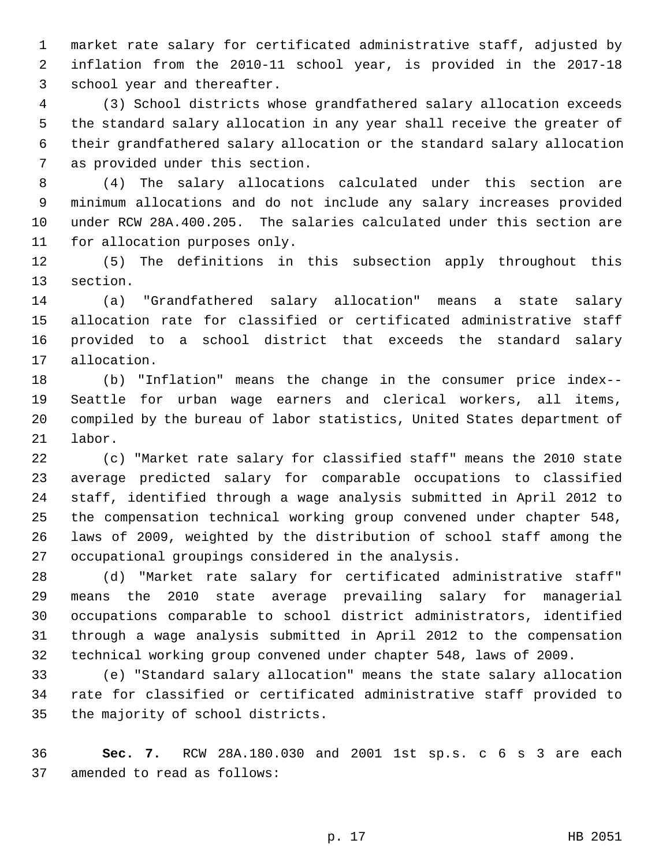1 market rate salary for certificated administrative staff, adjusted by 2 inflation from the 2010-11 school year, is provided in the 2017-18 3 school year and thereafter.

 4 (3) School districts whose grandfathered salary allocation exceeds 5 the standard salary allocation in any year shall receive the greater of 6 their grandfathered salary allocation or the standard salary allocation 7 as provided under this section.

 8 (4) The salary allocations calculated under this section are 9 minimum allocations and do not include any salary increases provided 10 under RCW 28A.400.205. The salaries calculated under this section are 11 for allocation purposes only.

12 (5) The definitions in this subsection apply throughout this 13 section.

14 (a) "Grandfathered salary allocation" means a state salary 15 allocation rate for classified or certificated administrative staff 16 provided to a school district that exceeds the standard salary 17 allocation.

18 (b) "Inflation" means the change in the consumer price index-- 19 Seattle for urban wage earners and clerical workers, all items, 20 compiled by the bureau of labor statistics, United States department of 21 labor.

22 (c) "Market rate salary for classified staff" means the 2010 state 23 average predicted salary for comparable occupations to classified 24 staff, identified through a wage analysis submitted in April 2012 to 25 the compensation technical working group convened under chapter 548, 26 laws of 2009, weighted by the distribution of school staff among the 27 occupational groupings considered in the analysis.

28 (d) "Market rate salary for certificated administrative staff" 29 means the 2010 state average prevailing salary for managerial 30 occupations comparable to school district administrators, identified 31 through a wage analysis submitted in April 2012 to the compensation 32 technical working group convened under chapter 548, laws of 2009.

33 (e) "Standard salary allocation" means the state salary allocation 34 rate for classified or certificated administrative staff provided to 35 the majority of school districts.

36 **Sec. 7.** RCW 28A.180.030 and 2001 1st sp.s. c 6 s 3 are each 37 amended to read as follows: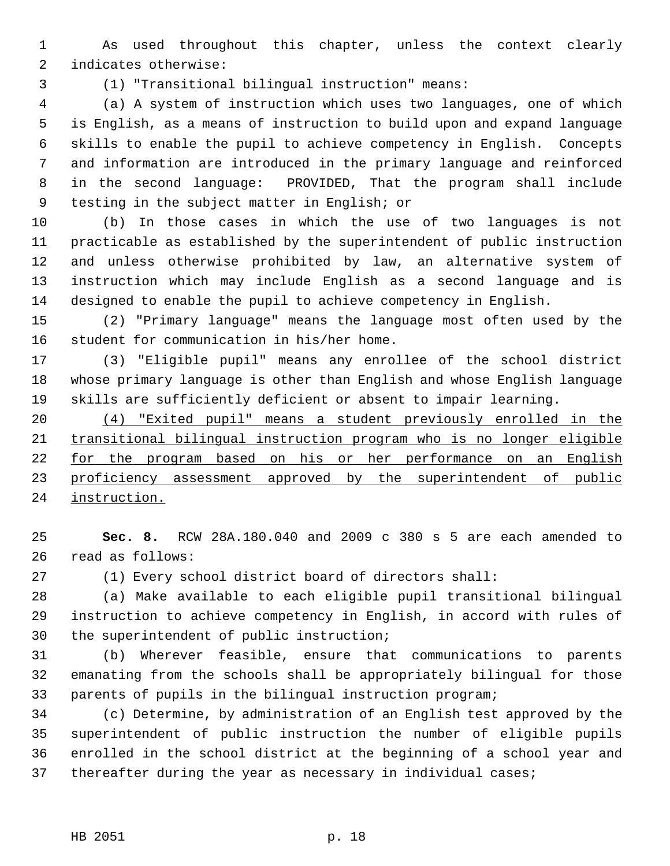1 As used throughout this chapter, unless the context clearly 2 indicates otherwise:

3 (1) "Transitional bilingual instruction" means:

 4 (a) A system of instruction which uses two languages, one of which 5 is English, as a means of instruction to build upon and expand language 6 skills to enable the pupil to achieve competency in English. Concepts 7 and information are introduced in the primary language and reinforced 8 in the second language: PROVIDED, That the program shall include 9 testing in the subject matter in English; or

10 (b) In those cases in which the use of two languages is not 11 practicable as established by the superintendent of public instruction 12 and unless otherwise prohibited by law, an alternative system of 13 instruction which may include English as a second language and is 14 designed to enable the pupil to achieve competency in English.

15 (2) "Primary language" means the language most often used by the 16 student for communication in his/her home.

17 (3) "Eligible pupil" means any enrollee of the school district 18 whose primary language is other than English and whose English language 19 skills are sufficiently deficient or absent to impair learning.

 (4) "Exited pupil" means a student previously enrolled in the transitional bilingual instruction program who is no longer eligible for the program based on his or her performance on an English 23 proficiency assessment approved by the superintendent of public instruction.

25 **Sec. 8.** RCW 28A.180.040 and 2009 c 380 s 5 are each amended to 26 read as follows:

27 (1) Every school district board of directors shall:

28 (a) Make available to each eligible pupil transitional bilingual 29 instruction to achieve competency in English, in accord with rules of 30 the superintendent of public instruction;

31 (b) Wherever feasible, ensure that communications to parents 32 emanating from the schools shall be appropriately bilingual for those 33 parents of pupils in the bilingual instruction program;

34 (c) Determine, by administration of an English test approved by the 35 superintendent of public instruction the number of eligible pupils 36 enrolled in the school district at the beginning of a school year and 37 thereafter during the year as necessary in individual cases;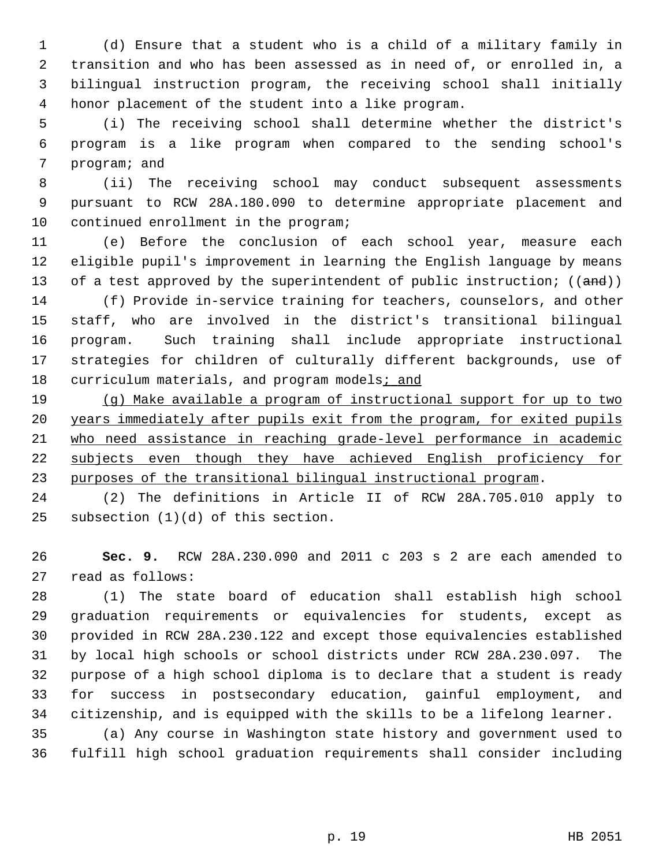1 (d) Ensure that a student who is a child of a military family in 2 transition and who has been assessed as in need of, or enrolled in, a 3 bilingual instruction program, the receiving school shall initially 4 honor placement of the student into a like program.

 5 (i) The receiving school shall determine whether the district's 6 program is a like program when compared to the sending school's 7 program; and

 8 (ii) The receiving school may conduct subsequent assessments 9 pursuant to RCW 28A.180.090 to determine appropriate placement and 10 continued enrollment in the program;

11 (e) Before the conclusion of each school year, measure each 12 eligible pupil's improvement in learning the English language by means 13 of a test approved by the superintendent of public instruction;  $((and))$ 

14 (f) Provide in-service training for teachers, counselors, and other 15 staff, who are involved in the district's transitional bilingual 16 program. Such training shall include appropriate instructional 17 strategies for children of culturally different backgrounds, use of 18 curriculum materials, and program models; and

 (g) Make available a program of instructional support for up to two years immediately after pupils exit from the program, for exited pupils who need assistance in reaching grade-level performance in academic 22 subjects even though they have achieved English proficiency for purposes of the transitional bilingual instructional program.

24 (2) The definitions in Article II of RCW 28A.705.010 apply to 25 subsection (1)(d) of this section.

26 **Sec. 9.** RCW 28A.230.090 and 2011 c 203 s 2 are each amended to 27 read as follows:

28 (1) The state board of education shall establish high school 29 graduation requirements or equivalencies for students, except as 30 provided in RCW 28A.230.122 and except those equivalencies established 31 by local high schools or school districts under RCW 28A.230.097. The 32 purpose of a high school diploma is to declare that a student is ready 33 for success in postsecondary education, gainful employment, and 34 citizenship, and is equipped with the skills to be a lifelong learner.

35 (a) Any course in Washington state history and government used to 36 fulfill high school graduation requirements shall consider including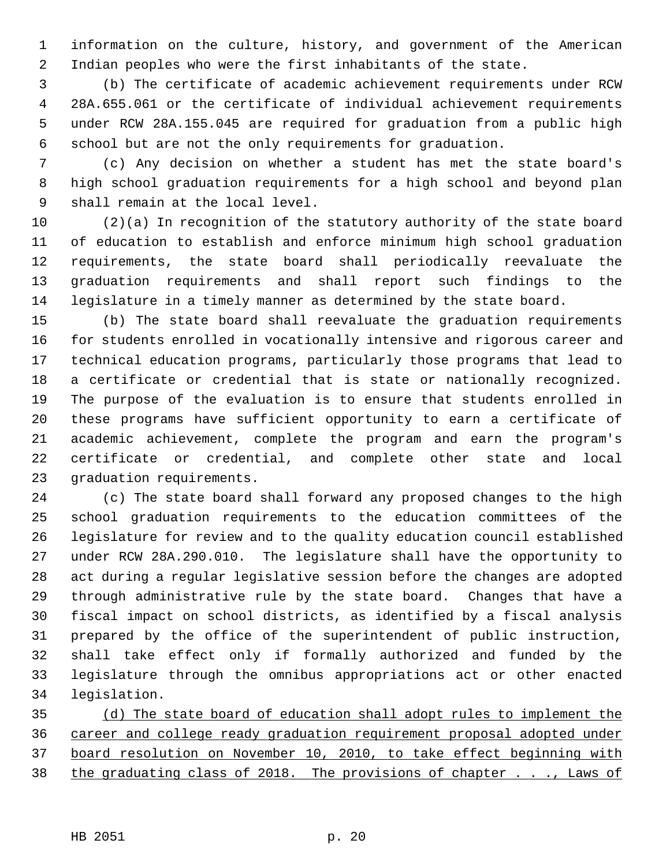1 information on the culture, history, and government of the American 2 Indian peoples who were the first inhabitants of the state.

 3 (b) The certificate of academic achievement requirements under RCW 4 28A.655.061 or the certificate of individual achievement requirements 5 under RCW 28A.155.045 are required for graduation from a public high 6 school but are not the only requirements for graduation.

 7 (c) Any decision on whether a student has met the state board's 8 high school graduation requirements for a high school and beyond plan 9 shall remain at the local level.

10 (2)(a) In recognition of the statutory authority of the state board 11 of education to establish and enforce minimum high school graduation 12 requirements, the state board shall periodically reevaluate the 13 graduation requirements and shall report such findings to the 14 legislature in a timely manner as determined by the state board.

15 (b) The state board shall reevaluate the graduation requirements 16 for students enrolled in vocationally intensive and rigorous career and 17 technical education programs, particularly those programs that lead to 18 a certificate or credential that is state or nationally recognized. 19 The purpose of the evaluation is to ensure that students enrolled in 20 these programs have sufficient opportunity to earn a certificate of 21 academic achievement, complete the program and earn the program's 22 certificate or credential, and complete other state and local 23 graduation requirements.

24 (c) The state board shall forward any proposed changes to the high 25 school graduation requirements to the education committees of the 26 legislature for review and to the quality education council established 27 under RCW 28A.290.010. The legislature shall have the opportunity to 28 act during a regular legislative session before the changes are adopted 29 through administrative rule by the state board. Changes that have a 30 fiscal impact on school districts, as identified by a fiscal analysis 31 prepared by the office of the superintendent of public instruction, 32 shall take effect only if formally authorized and funded by the 33 legislature through the omnibus appropriations act or other enacted 34 legislation.

 (d) The state board of education shall adopt rules to implement the career and college ready graduation requirement proposal adopted under board resolution on November 10, 2010, to take effect beginning with the graduating class of 2018. The provisions of chapter . . ., Laws of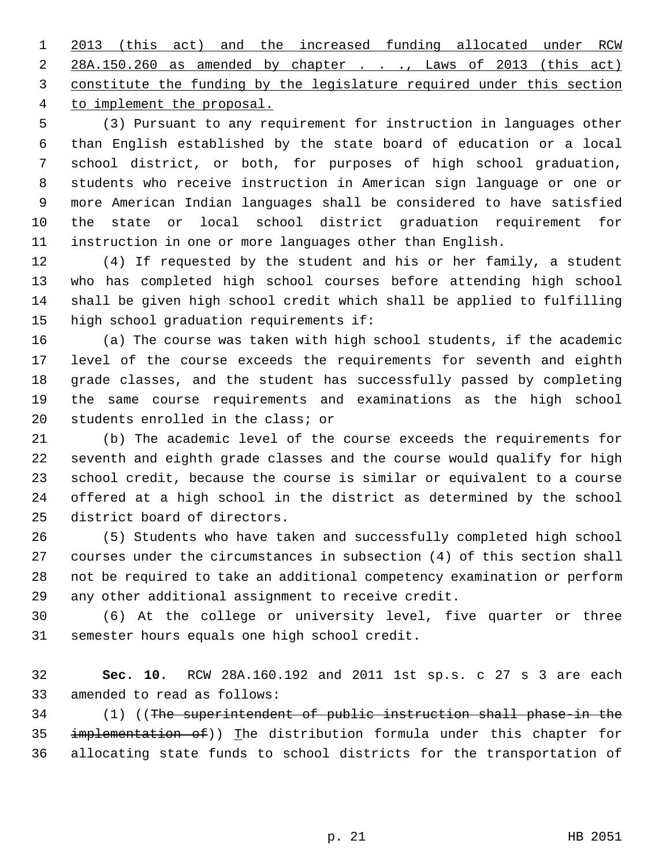2013 (this act) and the increased funding allocated under RCW 28A.150.260 as amended by chapter . . ., Laws of 2013 (this act) constitute the funding by the legislature required under this section to implement the proposal.

 5 (3) Pursuant to any requirement for instruction in languages other 6 than English established by the state board of education or a local 7 school district, or both, for purposes of high school graduation, 8 students who receive instruction in American sign language or one or 9 more American Indian languages shall be considered to have satisfied 10 the state or local school district graduation requirement for 11 instruction in one or more languages other than English.

12 (4) If requested by the student and his or her family, a student 13 who has completed high school courses before attending high school 14 shall be given high school credit which shall be applied to fulfilling 15 high school graduation requirements if:

16 (a) The course was taken with high school students, if the academic 17 level of the course exceeds the requirements for seventh and eighth 18 grade classes, and the student has successfully passed by completing 19 the same course requirements and examinations as the high school 20 students enrolled in the class; or

21 (b) The academic level of the course exceeds the requirements for 22 seventh and eighth grade classes and the course would qualify for high 23 school credit, because the course is similar or equivalent to a course 24 offered at a high school in the district as determined by the school 25 district board of directors.

26 (5) Students who have taken and successfully completed high school 27 courses under the circumstances in subsection (4) of this section shall 28 not be required to take an additional competency examination or perform 29 any other additional assignment to receive credit.

30 (6) At the college or university level, five quarter or three 31 semester hours equals one high school credit.

32 **Sec. 10.** RCW 28A.160.192 and 2011 1st sp.s. c 27 s 3 are each 33 amended to read as follows:

34 (1) ((The superintendent of public instruction shall phase-in the 35 implementation of)) The distribution formula under this chapter for 36 allocating state funds to school districts for the transportation of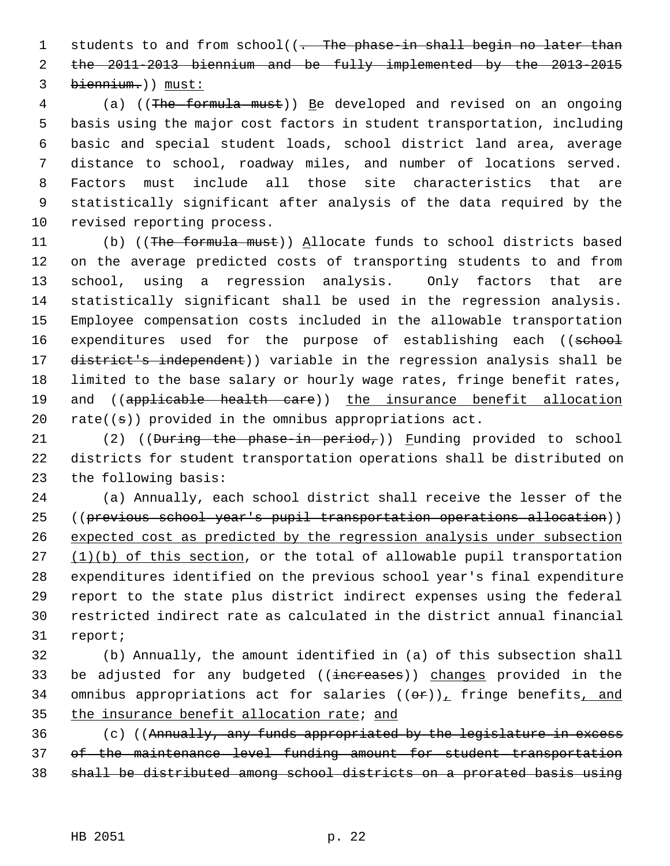1 students to and from school((. The phase-in shall begin no later than 2 the 2011-2013 biennium and be fully implemented by the 2013-2015 3 biennium.)) must:

 4 (a) ((The formula must)) Be developed and revised on an ongoing 5 basis using the major cost factors in student transportation, including 6 basic and special student loads, school district land area, average 7 distance to school, roadway miles, and number of locations served. 8 Factors must include all those site characteristics that are 9 statistically significant after analysis of the data required by the 10 revised reporting process.

11 (b) ((The formula must)) Allocate funds to school districts based 12 on the average predicted costs of transporting students to and from 13 school, using a regression analysis. Only factors that are 14 statistically significant shall be used in the regression analysis. 15 Employee compensation costs included in the allowable transportation 16 expenditures used for the purpose of establishing each ((school 17 district's independent)) variable in the regression analysis shall be 18 limited to the base salary or hourly wage rates, fringe benefit rates, 19 and ((applicable health care)) the insurance benefit allocation 20 rate( $(\pm)$ ) provided in the omnibus appropriations act.

21 (2) ((During the phase-in period,)) Funding provided to school 22 districts for student transportation operations shall be distributed on 23 the following basis:

24 (a) Annually, each school district shall receive the lesser of the 25 ((previous school year's pupil transportation operations allocation)) 26 expected cost as predicted by the regression analysis under subsection 27 (1)(b) of this section, or the total of allowable pupil transportation 28 expenditures identified on the previous school year's final expenditure 29 report to the state plus district indirect expenses using the federal 30 restricted indirect rate as calculated in the district annual financial 31 report;

32 (b) Annually, the amount identified in (a) of this subsection shall 33 be adjusted for any budgeted ((increases)) changes provided in the 34 omnibus appropriations act for salaries  $((\theta \cdot \mathbf{r}))_+$  fringe benefits, and 35 the insurance benefit allocation rate; and

36 (c) ((Annually, any funds appropriated by the legislature in excess 37 of the maintenance level funding amount for student transportation 38 shall be distributed among school districts on a prorated basis using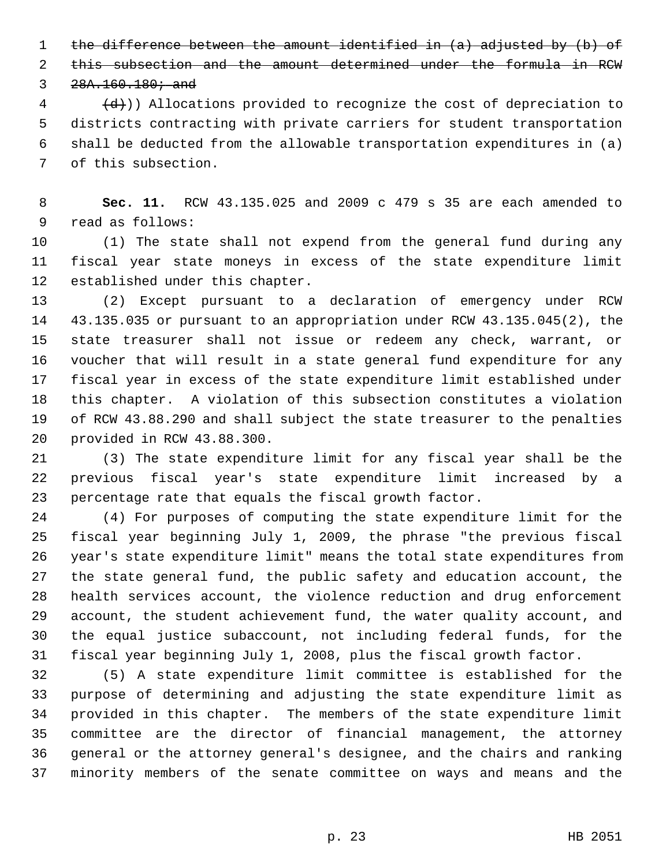1 the difference between the amount identified in (a) adjusted by (b) of

2 this subsection and the amount determined under the formula in RCW

 $3, 28A.160.180;$  and

 $\left(4 + \frac{1}{2}\right)$ ) Allocations provided to recognize the cost of depreciation to 5 districts contracting with private carriers for student transportation 6 shall be deducted from the allowable transportation expenditures in (a) 7 of this subsection.

 8 **Sec. 11.** RCW 43.135.025 and 2009 c 479 s 35 are each amended to 9 read as follows:

10 (1) The state shall not expend from the general fund during any 11 fiscal year state moneys in excess of the state expenditure limit 12 established under this chapter.

13 (2) Except pursuant to a declaration of emergency under RCW 14 43.135.035 or pursuant to an appropriation under RCW 43.135.045(2), the 15 state treasurer shall not issue or redeem any check, warrant, or 16 voucher that will result in a state general fund expenditure for any 17 fiscal year in excess of the state expenditure limit established under 18 this chapter. A violation of this subsection constitutes a violation 19 of RCW 43.88.290 and shall subject the state treasurer to the penalties 20 provided in RCW 43.88.300.

21 (3) The state expenditure limit for any fiscal year shall be the 22 previous fiscal year's state expenditure limit increased by a 23 percentage rate that equals the fiscal growth factor.

24 (4) For purposes of computing the state expenditure limit for the 25 fiscal year beginning July 1, 2009, the phrase "the previous fiscal 26 year's state expenditure limit" means the total state expenditures from 27 the state general fund, the public safety and education account, the 28 health services account, the violence reduction and drug enforcement 29 account, the student achievement fund, the water quality account, and 30 the equal justice subaccount, not including federal funds, for the 31 fiscal year beginning July 1, 2008, plus the fiscal growth factor.

32 (5) A state expenditure limit committee is established for the 33 purpose of determining and adjusting the state expenditure limit as 34 provided in this chapter. The members of the state expenditure limit 35 committee are the director of financial management, the attorney 36 general or the attorney general's designee, and the chairs and ranking 37 minority members of the senate committee on ways and means and the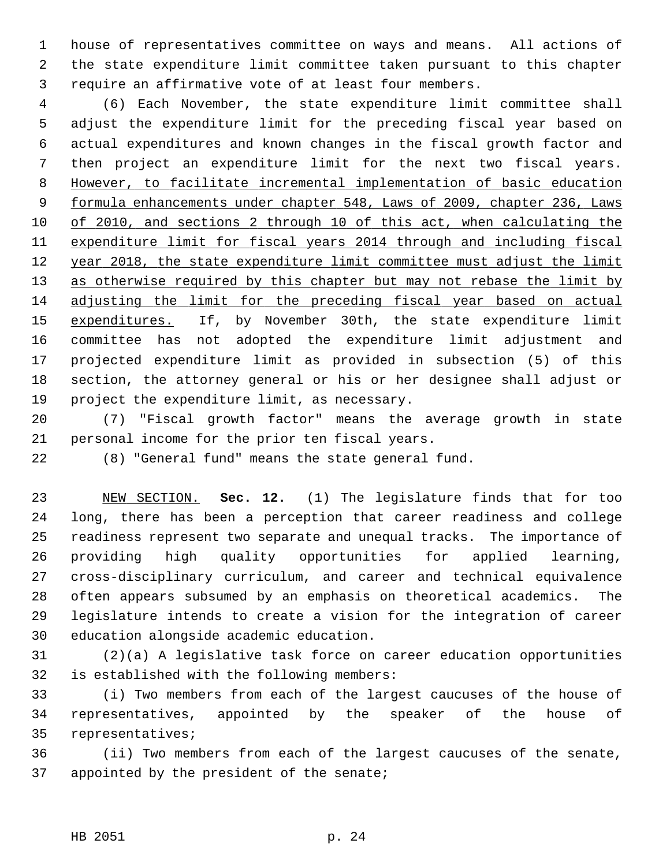1 house of representatives committee on ways and means. All actions of 2 the state expenditure limit committee taken pursuant to this chapter 3 require an affirmative vote of at least four members.

 4 (6) Each November, the state expenditure limit committee shall 5 adjust the expenditure limit for the preceding fiscal year based on 6 actual expenditures and known changes in the fiscal growth factor and 7 then project an expenditure limit for the next two fiscal years. 8 However, to facilitate incremental implementation of basic education 9 formula enhancements under chapter 548, Laws of 2009, chapter 236, Laws 10 of 2010, and sections 2 through 10 of this act, when calculating the 11 expenditure limit for fiscal years 2014 through and including fiscal 12 year 2018, the state expenditure limit committee must adjust the limit 13 as otherwise required by this chapter but may not rebase the limit by 14 adjusting the limit for the preceding fiscal year based on actual 15 expenditures. If, by November 30th, the state expenditure limit 16 committee has not adopted the expenditure limit adjustment and 17 projected expenditure limit as provided in subsection (5) of this 18 section, the attorney general or his or her designee shall adjust or 19 project the expenditure limit, as necessary.

20 (7) "Fiscal growth factor" means the average growth in state 21 personal income for the prior ten fiscal years.

22 (8) "General fund" means the state general fund.

23 NEW SECTION. **Sec. 12.** (1) The legislature finds that for too 24 long, there has been a perception that career readiness and college 25 readiness represent two separate and unequal tracks. The importance of 26 providing high quality opportunities for applied learning, 27 cross-disciplinary curriculum, and career and technical equivalence 28 often appears subsumed by an emphasis on theoretical academics. The 29 legislature intends to create a vision for the integration of career 30 education alongside academic education.

31 (2)(a) A legislative task force on career education opportunities 32 is established with the following members:

33 (i) Two members from each of the largest caucuses of the house of 34 representatives, appointed by the speaker of the house of 35 representatives;

36 (ii) Two members from each of the largest caucuses of the senate, 37 appointed by the president of the senate;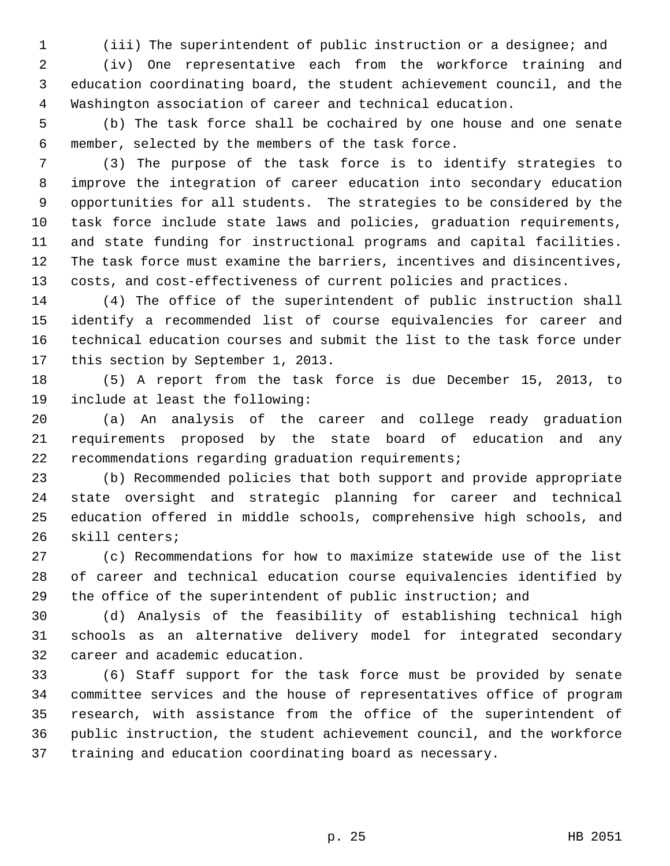1 (iii) The superintendent of public instruction or a designee; and

 2 (iv) One representative each from the workforce training and 3 education coordinating board, the student achievement council, and the 4 Washington association of career and technical education.

 5 (b) The task force shall be cochaired by one house and one senate 6 member, selected by the members of the task force.

 7 (3) The purpose of the task force is to identify strategies to 8 improve the integration of career education into secondary education 9 opportunities for all students. The strategies to be considered by the 10 task force include state laws and policies, graduation requirements, 11 and state funding for instructional programs and capital facilities. 12 The task force must examine the barriers, incentives and disincentives, 13 costs, and cost-effectiveness of current policies and practices.

14 (4) The office of the superintendent of public instruction shall 15 identify a recommended list of course equivalencies for career and 16 technical education courses and submit the list to the task force under 17 this section by September 1, 2013.

18 (5) A report from the task force is due December 15, 2013, to 19 include at least the following:

20 (a) An analysis of the career and college ready graduation 21 requirements proposed by the state board of education and any 22 recommendations regarding graduation requirements;

23 (b) Recommended policies that both support and provide appropriate 24 state oversight and strategic planning for career and technical 25 education offered in middle schools, comprehensive high schools, and 26 skill centers;

27 (c) Recommendations for how to maximize statewide use of the list 28 of career and technical education course equivalencies identified by 29 the office of the superintendent of public instruction; and

30 (d) Analysis of the feasibility of establishing technical high 31 schools as an alternative delivery model for integrated secondary 32 career and academic education.

33 (6) Staff support for the task force must be provided by senate 34 committee services and the house of representatives office of program 35 research, with assistance from the office of the superintendent of 36 public instruction, the student achievement council, and the workforce 37 training and education coordinating board as necessary.